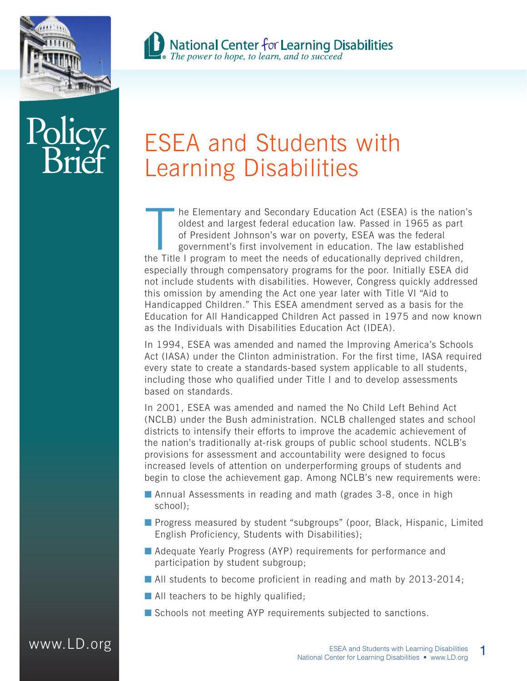



# **B** National Center for Learning Disabilities<br>The power to hope, to learn, and to succeed

## ESEA and Students with Learning Disabilities

The Elementary and Secondary Education Act (ESEA) is the nation oldest and largest federal education law. Passed in 1965 as part of President Johnson's war on poverty, ESEA was the federal government's first involvement in he Elementary and Secondary Education Act (ESEA) is the nation's oldest and largest federal education law. Passed in 1965 as part of President Johnson's war on poverty, ESEA was the federal government's first involvement in education. The law established especially through compensatory programs for the poor. Initially ESEA did not include students with disabilities. However, Congress quickly addressed this omission by amending the Act one year later with Title VI "Aid to Handicapped Children." This ESEA amendment served as a basis for the Education for All Handicapped Children Act passed in 1975 and now known as the Individuals with Disabilities Education Act (IDEA).

In 1994, ESEA was amended and named the Improving America's Schools Act (IASA) under the Clinton administration. For the first time, IASA required every state to create a standards-based system applicable to all students, including those who qualified under Title I and to develop assessments based on standards.

In 2001, ESEA was amended and named the No Child Left Behind Act (NCLB) under the Bush administration. NCLB challenged states and school districts to intensify their efforts to improve the academic achievement of the nation's traditionally at-risk groups of public school students. NCLB's provisions for assessment and accountability were designed to focus increased levels of attention on underperforming groups of students and begin to close the achievement gap. Among NCLB's new requirements were:

- Annual Assessments in reading and math (grades 3-8, once in high school);
- Progress measured by student "subgroups" (poor, Black, Hispanic, Limited English Proficiency, Students with Disabilities);
- Adequate Yearly Progress (AYP) requirements for performance and participation by student subgroup;
- All students to become proficient in reading and math by 2013-2014;
- All teachers to be highly qualified;
- Schools not meeting AYP requirements subjected to sanctions.

### www.LD.org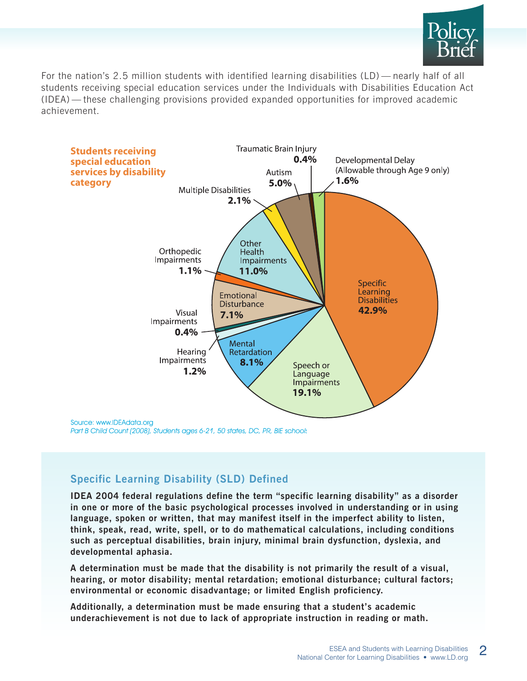

For the nation's 2.5 million students with identified learning disabilities (LD) — nearly half of all students receiving special education services under the Individuals with Disabilities Education Act (IDEA) — these challenging provisions provided expanded opportunities for improved academic achievement.



#### **Specific Learning Disability (SLD) Defined**

**IDEA 2004 federal regulations define the term "specific learning disability" as a disorder in one or more of the basic psychological processes involved in understanding or in using language, spoken or written, that may manifest itself in the imperfect ability to listen, think, speak, read, write, spell, or to do mathematical calculations, including conditions such as perceptual disabilities, brain injury, minimal brain dysfunction, dyslexia, and developmental aphasia.**

**A determination must be made that the disability is not primarily the result of a visual, hearing, or motor disability; mental retardation; emotional disturbance; cultural factors; environmental or economic disadvantage; or limited English proficiency.** 

**Additionally, a determination must be made ensuring that a student's academic underachievement is not due to lack of appropriate instruction in reading or math.**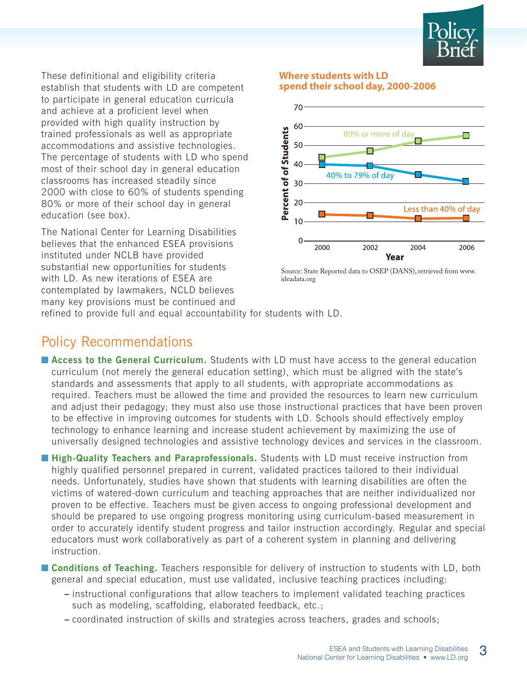

These definitional and eligibility criteria establish that students with LD are competent to participate in general education curricula and achieve at a proficient level when provided with high quality instruction by trained professionals as well as appropriate accommodations and assistive technologies. The percentage of students with LD who spend most of their school day in general education classrooms has increased steadily since 2000 with close to 60% of students spending 80% or more of their school day in general education (see box).

The National Center for Learning Disabilities believes that the enhanced ESEA provisions instituted under NCLB have provided substantial new opportunities for students with LD. As new iterations of ESEA are contemplated by lawmakers, NCLD believes many key provisions must be continued and

#### **Where students with LD spend their school day, 2000-2006**



Source: State Reported data to OSEP (DANS), retrieved from www. ideadata.org

refined to provide full and equal accountability for students with LD.

#### Policy Recommendations

■ **Access to the General Curriculum.** Students with LD must have access to the general education curriculum (not merely the general education setting), which must be aligned with the state's standards and assessments that apply to all students, with appropriate accommodations as required. Teachers must be allowed the time and provided the resources to learn new curriculum and adjust their pedagogy; they must also use those instructional practices that have been proven to be effective in improving outcomes for students with LD. Schools should effectively employ technology to enhance learning and increase student achievement by maximizing the use of universally designed technologies and assistive technology devices and services in the classroom.

■ **High-Quality Teachers and Paraprofessionals.** Students with LD must receive instruction from highly qualified personnel prepared in current, validated practices tailored to their individual needs. Unfortunately, studies have shown that students with learning disabilities are often the victims of watered-down curriculum and teaching approaches that are neither individualized nor proven to be effective. Teachers must be given access to ongoing professional development and should be prepared to use ongoing progress monitoring using curriculum-based measurement in order to accurately identify student progress and tailor instruction accordingly. Regular and special educators must work collaboratively as part of a coherent system in planning and delivering instruction.

■ **Conditions of Teaching.** Teachers responsible for delivery of instruction to students with LD, both general and special education, must use validated, inclusive teaching practices including:

- **–** instructional configurations that allow teachers to implement validated teaching practices such as modeling, scaffolding, elaborated feedback, etc.;
- **–** coordinated instruction of skills and strategies across teachers, grades and schools;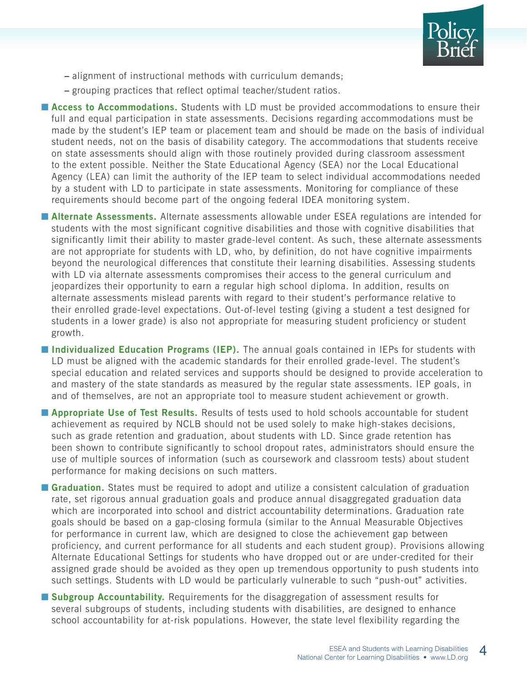

- **–** alignment of instructional methods with curriculum demands;
- **–** grouping practices that reflect optimal teacher/student ratios.

■ **Access to Accommodations.** Students with LD must be provided accommodations to ensure their full and equal participation in state assessments. Decisions regarding accommodations must be made by the student's IEP team or placement team and should be made on the basis of individual student needs, not on the basis of disability category. The accommodations that students receive on state assessments should align with those routinely provided during classroom assessment to the extent possible. Neither the State Educational Agency (SEA) nor the Local Educational Agency (LEA) can limit the authority of the IEP team to select individual accommodations needed by a student with LD to participate in state assessments. Monitoring for compliance of these requirements should become part of the ongoing federal IDEA monitoring system.

- **Alternate Assessments.** Alternate assessments allowable under ESEA regulations are intended for students with the most significant cognitive disabilities and those with cognitive disabilities that significantly limit their ability to master grade-level content. As such, these alternate assessments are not appropriate for students with LD, who, by definition, do not have cognitive impairments beyond the neurological differences that constitute their learning disabilities. Assessing students with LD via alternate assessments compromises their access to the general curriculum and jeopardizes their opportunity to earn a regular high school diploma. In addition, results on alternate assessments mislead parents with regard to their student's performance relative to their enrolled grade-level expectations. Out-of-level testing (giving a student a test designed for students in a lower grade) is also not appropriate for measuring student proficiency or student growth.
- **Individualized Education Programs (IEP).** The annual goals contained in IEPs for students with LD must be aligned with the academic standards for their enrolled grade-level. The student's special education and related services and supports should be designed to provide acceleration to and mastery of the state standards as measured by the regular state assessments. IEP goals, in and of themselves, are not an appropriate tool to measure student achievement or growth.
- **Appropriate Use of Test Results.** Results of tests used to hold schools accountable for student achievement as required by NCLB should not be used solely to make high-stakes decisions, such as grade retention and graduation, about students with LD. Since grade retention has been shown to contribute significantly to school dropout rates, administrators should ensure the use of multiple sources of information (such as coursework and classroom tests) about student performance for making decisions on such matters.
- **Graduation.** States must be required to adopt and utilize a consistent calculation of graduation rate, set rigorous annual graduation goals and produce annual disaggregated graduation data which are incorporated into school and district accountability determinations. Graduation rate goals should be based on a gap-closing formula (similar to the Annual Measurable Objectives for performance in current law, which are designed to close the achievement gap between proficiency, and current performance for all students and each student group). Provisions allowing Alternate Educational Settings for students who have dropped out or are under-credited for their assigned grade should be avoided as they open up tremendous opportunity to push students into such settings. Students with LD would be particularly vulnerable to such "push-out" activities.
- **Subgroup Accountability.** Requirements for the disaggregation of assessment results for several subgroups of students, including students with disabilities, are designed to enhance school accountability for at-risk populations. However, the state level flexibility regarding the